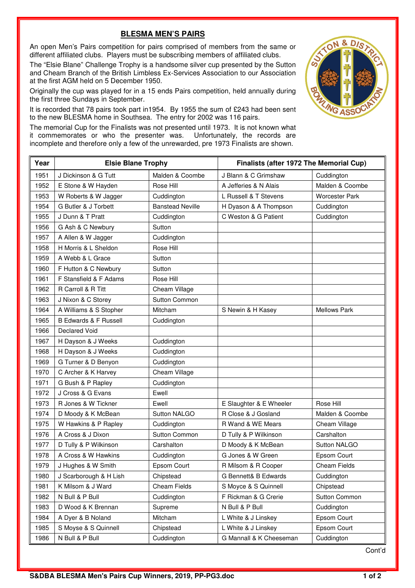## **BLESMA MEN'S PAIRS**

An open Men's Pairs competition for pairs comprised of members from the same or different affiliated clubs. Players must be subscribing members of affiliated clubs.

The "Elsie Blane" Challenge Trophy is a handsome silver cup presented by the Sutton and Cheam Branch of the British Limbless Ex-Services Association to our Association at the first AGM held on 5 December 1950.

Originally the cup was played for in a 15 ends Pairs competition, held annually during the first three Sundays in September.

It is recorded that 78 pairs took part in1954. By 1955 the sum of £243 had been sent to the new BLESMA home in Southsea. The entry for 2002 was 116 pairs.

The memorial Cup for the Finalists was not presented until 1973. It is not known what it commemorates or who the presenter was. Unfortunately, the records are incomplete and therefore only a few of the unrewarded, pre 1973 Finalists are shown.



D<sub>/S</sub> **NG ASS** 

Cont'd